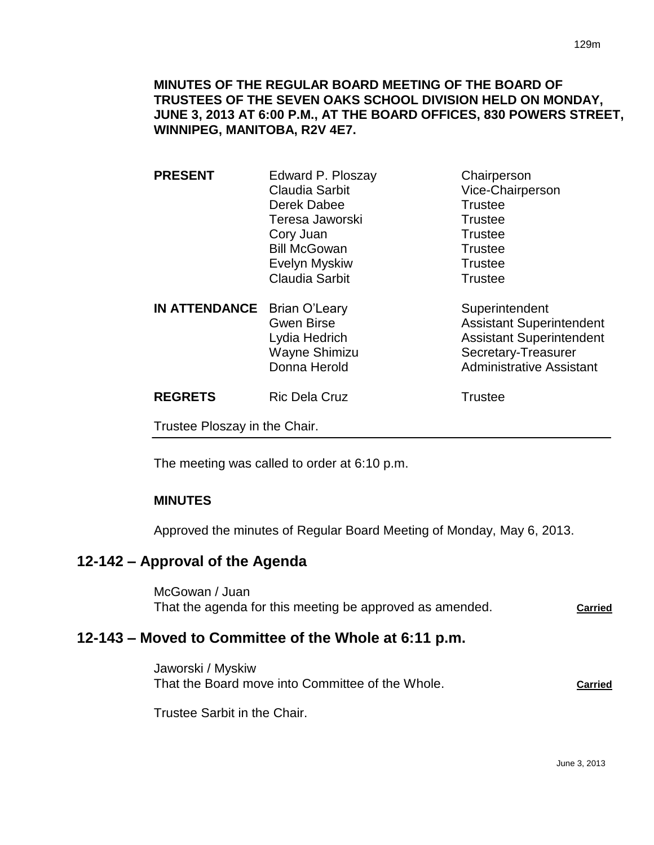## **MINUTES OF THE REGULAR BOARD MEETING OF THE BOARD OF TRUSTEES OF THE SEVEN OAKS SCHOOL DIVISION HELD ON MONDAY, JUNE 3, 2013 AT 6:00 P.M., AT THE BOARD OFFICES, 830 POWERS STREET, WINNIPEG, MANITOBA, R2V 4E7.**

| <b>PRESENT</b>                     | Edward P. Ploszay     | Chairperson                     |
|------------------------------------|-----------------------|---------------------------------|
|                                    | Claudia Sarbit        | Vice-Chairperson                |
|                                    | Derek Dabee           | <b>Trustee</b>                  |
|                                    | Teresa Jaworski       | <b>Trustee</b>                  |
|                                    | Cory Juan             | <b>Trustee</b>                  |
|                                    | <b>Bill McGowan</b>   | <b>Trustee</b>                  |
|                                    | Evelyn Myskiw         | <b>Trustee</b>                  |
|                                    | <b>Claudia Sarbit</b> | <b>Trustee</b>                  |
| <b>IN ATTENDANCE</b> Brian O'Leary |                       | Superintendent                  |
|                                    | <b>Gwen Birse</b>     | <b>Assistant Superintendent</b> |
|                                    | Lydia Hedrich         | <b>Assistant Superintendent</b> |
|                                    | Wayne Shimizu         | Secretary-Treasurer             |
|                                    | Donna Herold          | <b>Administrative Assistant</b> |

| <b>REGRETS</b> | <b>Ric Dela Cruz</b> | Trustee |
|----------------|----------------------|---------|
|                |                      |         |

Trustee Ploszay in the Chair.

The meeting was called to order at 6:10 p.m.

# **MINUTES**

Approved the minutes of Regular Board Meeting of Monday, May 6, 2013.

# **12-142 – Approval of the Agenda**

McGowan / Juan That the agenda for this meeting be approved as amended. **Carried**

# **12-143 – Moved to Committee of the Whole at 6:11 p.m.**

Jaworski / Myskiw That the Board move into Committee of the Whole. **Carried**

Trustee Sarbit in the Chair.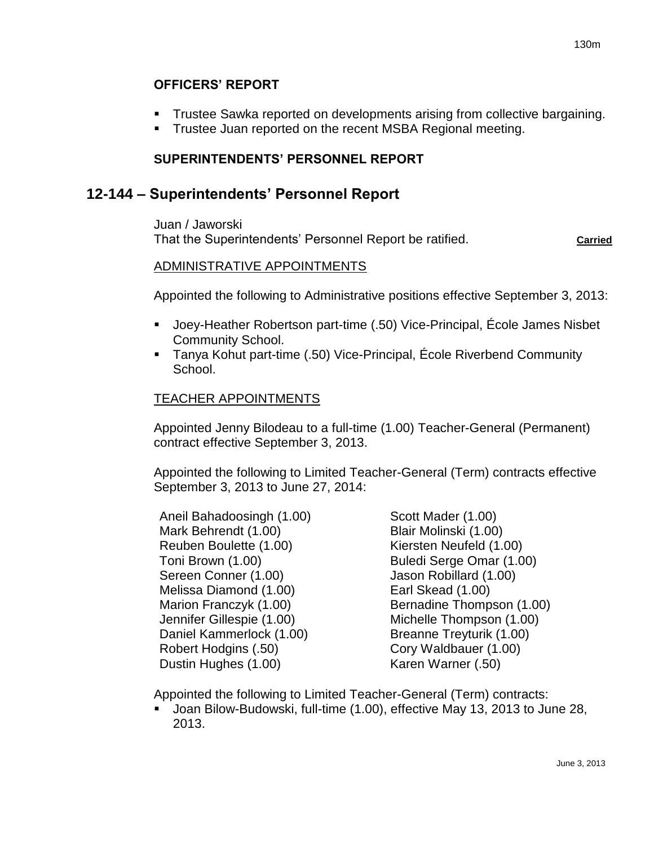## **OFFICERS' REPORT**

- Trustee Sawka reported on developments arising from collective bargaining.
- **Trustee Juan reported on the recent MSBA Regional meeting.**

# **SUPERINTENDENTS' PERSONNEL REPORT**

# **12-144 – Superintendents' Personnel Report**

Juan / Jaworski That the Superintendents' Personnel Report be ratified. **Carried** Carried

## ADMINISTRATIVE APPOINTMENTS

Appointed the following to Administrative positions effective September 3, 2013:

- Joey-Heather Robertson part-time (.50) Vice-Principal, École James Nisbet Community School.
- Tanya Kohut part-time (.50) Vice-Principal, École Riverbend Community School.

## TEACHER APPOINTMENTS

Appointed Jenny Bilodeau to a full-time (1.00) Teacher-General (Permanent) contract effective September 3, 2013.

Appointed the following to Limited Teacher-General (Term) contracts effective September 3, 2013 to June 27, 2014:

Aneil Bahadoosingh (1.00) Mark Behrendt (1.00) Reuben Boulette (1.00) Toni Brown (1.00) Sereen Conner (1.00) Melissa Diamond (1.00) Marion Franczyk (1.00) Jennifer Gillespie (1.00) Daniel Kammerlock (1.00) Robert Hodgins (.50) Dustin Hughes (1.00)

Scott Mader (1.00) Blair Molinski (1.00) Kiersten Neufeld (1.00) Buledi Serge Omar (1.00) Jason Robillard (1.00) Earl Skead (1.00) Bernadine Thompson (1.00) Michelle Thompson (1.00) Breanne Treyturik (1.00) Cory Waldbauer (1.00) Karen Warner (.50)

Appointed the following to Limited Teacher-General (Term) contracts:

 Joan Bilow-Budowski, full-time (1.00), effective May 13, 2013 to June 28, 2013.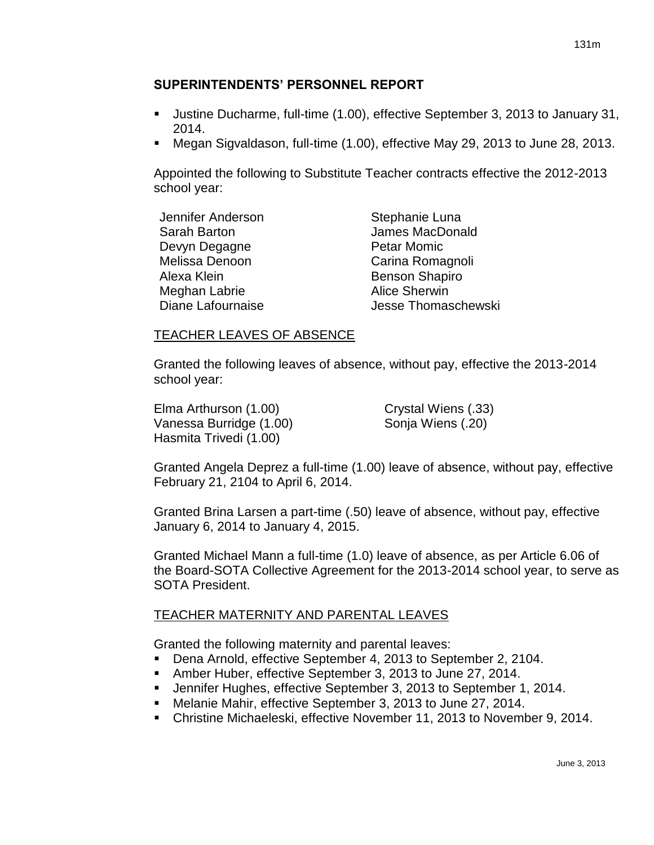## **SUPERINTENDENTS' PERSONNEL REPORT**

- Justine Ducharme, full-time (1.00), effective September 3, 2013 to January 31, 2014.
- Megan Sigvaldason, full-time (1.00), effective May 29, 2013 to June 28, 2013.

Appointed the following to Substitute Teacher contracts effective the 2012-2013 school year:

| Jennifer Anderson | Stephanie Luna        |
|-------------------|-----------------------|
| Sarah Barton      | James MacDonald       |
| Devyn Degagne     | <b>Petar Momic</b>    |
| Melissa Denoon    | Carina Romagnoli      |
| Alexa Klein       | <b>Benson Shapiro</b> |
| Meghan Labrie     | <b>Alice Sherwin</b>  |
| Diane Lafournaise | Jesse Thomaschewski   |

## TEACHER LEAVES OF ABSENCE

Granted the following leaves of absence, without pay, effective the 2013-2014 school year:

Elma Arthurson (1.00) Crystal Wiens (.33) Vanessa Burridge (1.00) Sonja Wiens (.20) Hasmita Trivedi (1.00)

Granted Angela Deprez a full-time (1.00) leave of absence, without pay, effective February 21, 2104 to April 6, 2014.

Granted Brina Larsen a part-time (.50) leave of absence, without pay, effective January 6, 2014 to January 4, 2015.

Granted Michael Mann a full-time (1.0) leave of absence, as per Article 6.06 of the Board-SOTA Collective Agreement for the 2013-2014 school year, to serve as SOTA President.

# TEACHER MATERNITY AND PARENTAL LEAVES

Granted the following maternity and parental leaves:

- Dena Arnold, effective September 4, 2013 to September 2, 2104.
- Amber Huber, effective September 3, 2013 to June 27, 2014.
- Jennifer Hughes, effective September 3, 2013 to September 1, 2014.
- Melanie Mahir, effective September 3, 2013 to June 27, 2014.
- Christine Michaeleski, effective November 11, 2013 to November 9, 2014.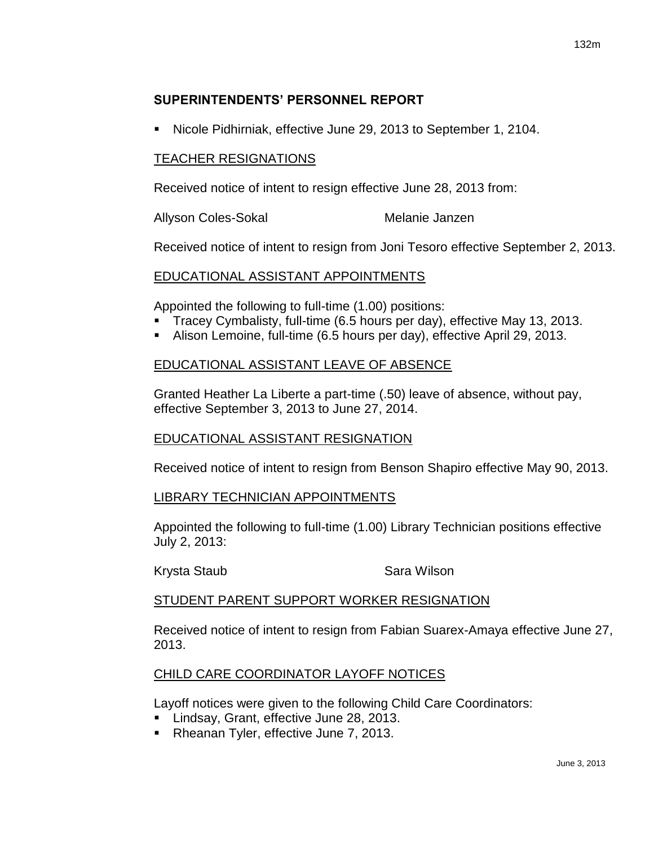## **SUPERINTENDENTS' PERSONNEL REPORT**

Nicole Pidhirniak, effective June 29, 2013 to September 1, 2104.

#### TEACHER RESIGNATIONS

Received notice of intent to resign effective June 28, 2013 from:

Allyson Coles-Sokal Melanie Janzen

Received notice of intent to resign from Joni Tesoro effective September 2, 2013.

## EDUCATIONAL ASSISTANT APPOINTMENTS

Appointed the following to full-time (1.00) positions:

- Tracey Cymbalisty, full-time (6.5 hours per day), effective May 13, 2013.
- Alison Lemoine, full-time (6.5 hours per day), effective April 29, 2013.

## EDUCATIONAL ASSISTANT LEAVE OF ABSENCE

Granted Heather La Liberte a part-time (.50) leave of absence, without pay, effective September 3, 2013 to June 27, 2014.

## EDUCATIONAL ASSISTANT RESIGNATION

Received notice of intent to resign from Benson Shapiro effective May 90, 2013.

## LIBRARY TECHNICIAN APPOINTMENTS

Appointed the following to full-time (1.00) Library Technician positions effective July 2, 2013:

Krysta Staub **Sara Wilson** 

#### STUDENT PARENT SUPPORT WORKER RESIGNATION

Received notice of intent to resign from Fabian Suarex-Amaya effective June 27, 2013.

## CHILD CARE COORDINATOR LAYOFF NOTICES

Layoff notices were given to the following Child Care Coordinators:

- **Lindsay, Grant, effective June 28, 2013.**
- Rheanan Tyler, effective June 7, 2013.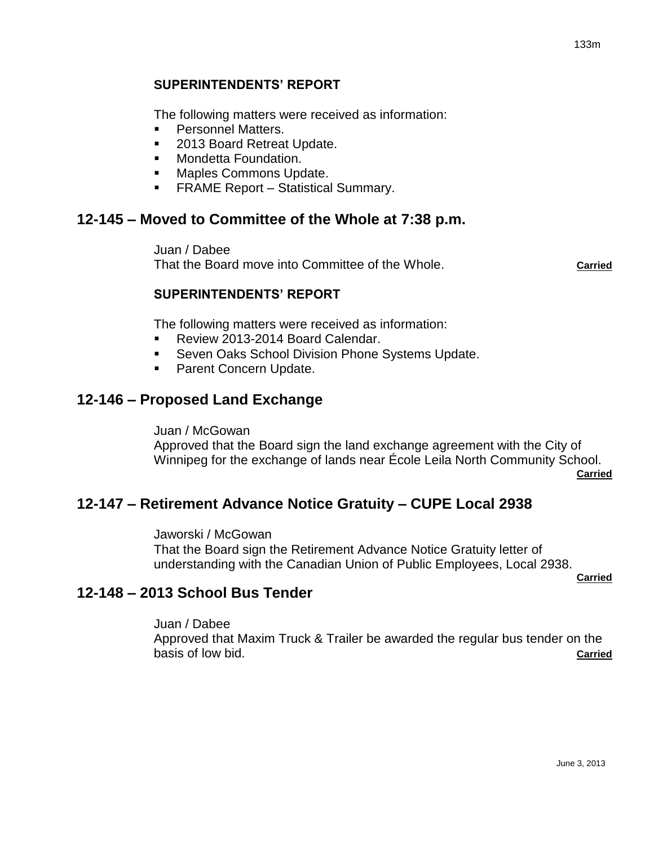## **SUPERINTENDENTS' REPORT**

The following matters were received as information:

- **Personnel Matters.**
- 2013 Board Retreat Update.
- **Nondetta Foundation.**
- Maples Commons Update.
- **FRAME Report Statistical Summary.**

# **12-145 – Moved to Committee of the Whole at 7:38 p.m.**

Juan / Dabee That the Board move into Committee of the Whole. **Carried**

## **SUPERINTENDENTS' REPORT**

The following matters were received as information:

- Review 2013-2014 Board Calendar.
- Seven Oaks School Division Phone Systems Update.
- **Parent Concern Update.**

# **12-146 – Proposed Land Exchange**

Juan / McGowan

Approved that the Board sign the land exchange agreement with the City of Winnipeg for the exchange of lands near École Leila North Community School. **Carried**

# **12-147 – Retirement Advance Notice Gratuity – CUPE Local 2938**

Jaworski / McGowan That the Board sign the Retirement Advance Notice Gratuity letter of understanding with the Canadian Union of Public Employees, Local 2938.

**Carried**

# **12-148 – 2013 School Bus Tender**

Juan / Dabee

Approved that Maxim Truck & Trailer be awarded the regular bus tender on the basis of low bid. **Carried**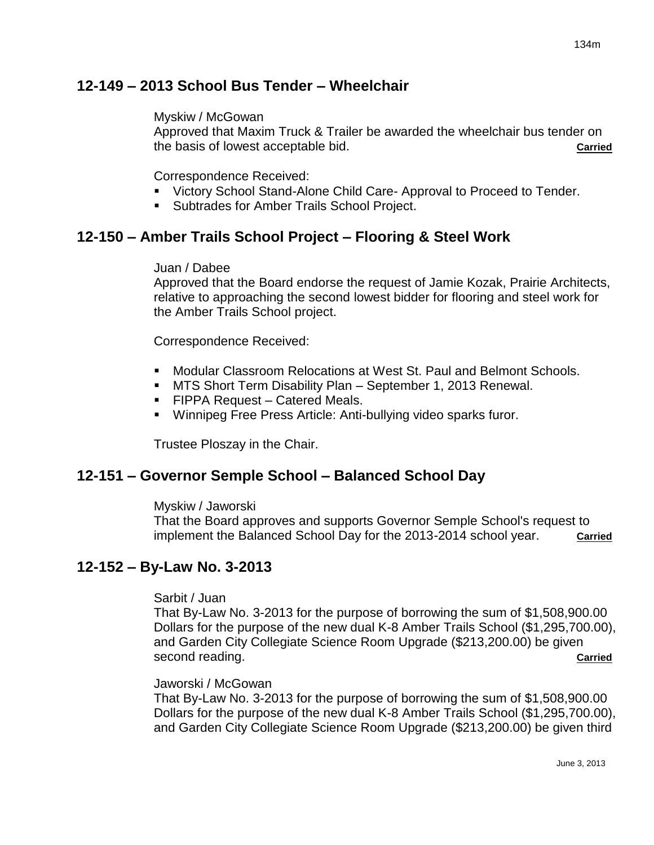# **12-149 – 2013 School Bus Tender – Wheelchair**

#### Myskiw / McGowan

Approved that Maxim Truck & Trailer be awarded the wheelchair bus tender on the basis of lowest acceptable bid. **Carried**

#### Correspondence Received:

- Victory School Stand-Alone Child Care- Approval to Proceed to Tender.
- Subtrades for Amber Trails School Project.

# **12-150 – Amber Trails School Project – Flooring & Steel Work**

#### Juan / Dabee

Approved that the Board endorse the request of Jamie Kozak, Prairie Architects, relative to approaching the second lowest bidder for flooring and steel work for the Amber Trails School project.

Correspondence Received:

- Modular Classroom Relocations at West St. Paul and Belmont Schools.
- MTS Short Term Disability Plan September 1, 2013 Renewal.
- FIPPA Request Catered Meals.
- Winnipeg Free Press Article: Anti-bullying video sparks furor.

Trustee Ploszay in the Chair.

# **12-151 – Governor Semple School – Balanced School Day**

#### Myskiw / Jaworski

That the Board approves and supports Governor Semple School's request to implement the Balanced School Day for the 2013-2014 school year. **Carried**

# **12-152 – By-Law No. 3-2013**

#### Sarbit / Juan

That By-Law No. 3-2013 for the purpose of borrowing the sum of \$1,508,900.00 Dollars for the purpose of the new dual K-8 Amber Trails School (\$1,295,700.00), and Garden City Collegiate Science Room Upgrade (\$213,200.00) be given second reading. **Carried** 

#### Jaworski / McGowan

That By-Law No. 3-2013 for the purpose of borrowing the sum of \$1,508,900.00 Dollars for the purpose of the new dual K-8 Amber Trails School (\$1,295,700.00), and Garden City Collegiate Science Room Upgrade (\$213,200.00) be given third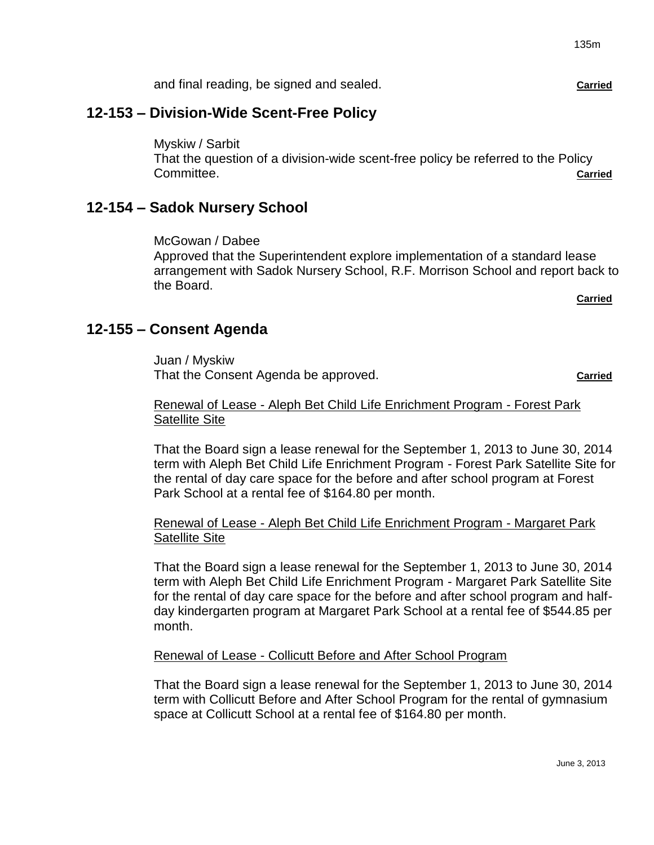and final reading, be signed and sealed. **Carried**

# **12-153 – Division-Wide Scent-Free Policy**

Myskiw / Sarbit That the question of a division-wide scent-free policy be referred to the Policy **Committee. Committee. Committee Committee Committee Committee Committee Committee Committee Committee** 

# **12-154 – Sadok Nursery School**

McGowan / Dabee Approved that the Superintendent explore implementation of a standard lease arrangement with Sadok Nursery School, R.F. Morrison School and report back to the Board.

**Carried**

# **12-155 – Consent Agenda**

Juan / Myskiw That the Consent Agenda be approved. That the Consent Agenda be approved.

#### Renewal of Lease - Aleph Bet Child Life Enrichment Program - Forest Park Satellite Site

That the Board sign a lease renewal for the September 1, 2013 to June 30, 2014 term with Aleph Bet Child Life Enrichment Program - Forest Park Satellite Site for the rental of day care space for the before and after school program at Forest Park School at a rental fee of \$164.80 per month.

## Renewal of Lease - Aleph Bet Child Life Enrichment Program - Margaret Park Satellite Site

That the Board sign a lease renewal for the September 1, 2013 to June 30, 2014 term with Aleph Bet Child Life Enrichment Program - Margaret Park Satellite Site for the rental of day care space for the before and after school program and halfday kindergarten program at Margaret Park School at a rental fee of \$544.85 per month.

## Renewal of Lease - Collicutt Before and After School Program

That the Board sign a lease renewal for the September 1, 2013 to June 30, 2014 term with Collicutt Before and After School Program for the rental of gymnasium space at Collicutt School at a rental fee of \$164.80 per month.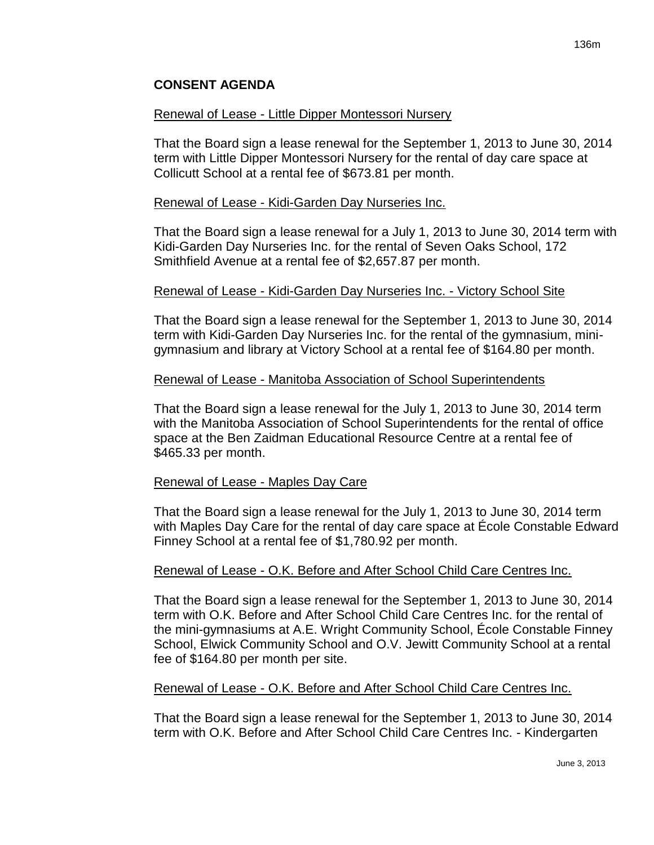#### Renewal of Lease - Little Dipper Montessori Nursery

That the Board sign a lease renewal for the September 1, 2013 to June 30, 2014 term with Little Dipper Montessori Nursery for the rental of day care space at Collicutt School at a rental fee of \$673.81 per month.

#### Renewal of Lease - Kidi-Garden Day Nurseries Inc.

That the Board sign a lease renewal for a July 1, 2013 to June 30, 2014 term with Kidi-Garden Day Nurseries Inc. for the rental of Seven Oaks School, 172 Smithfield Avenue at a rental fee of \$2,657.87 per month.

#### Renewal of Lease - Kidi-Garden Day Nurseries Inc. - Victory School Site

That the Board sign a lease renewal for the September 1, 2013 to June 30, 2014 term with Kidi-Garden Day Nurseries Inc. for the rental of the gymnasium, minigymnasium and library at Victory School at a rental fee of \$164.80 per month.

#### Renewal of Lease - Manitoba Association of School Superintendents

That the Board sign a lease renewal for the July 1, 2013 to June 30, 2014 term with the Manitoba Association of School Superintendents for the rental of office space at the Ben Zaidman Educational Resource Centre at a rental fee of \$465.33 per month.

#### Renewal of Lease - Maples Day Care

That the Board sign a lease renewal for the July 1, 2013 to June 30, 2014 term with Maples Day Care for the rental of day care space at École Constable Edward Finney School at a rental fee of \$1,780.92 per month.

#### Renewal of Lease - O.K. Before and After School Child Care Centres Inc.

That the Board sign a lease renewal for the September 1, 2013 to June 30, 2014 term with O.K. Before and After School Child Care Centres Inc. for the rental of the mini-gymnasiums at A.E. Wright Community School, École Constable Finney School, Elwick Community School and O.V. Jewitt Community School at a rental fee of \$164.80 per month per site.

#### Renewal of Lease - O.K. Before and After School Child Care Centres Inc.

That the Board sign a lease renewal for the September 1, 2013 to June 30, 2014 term with O.K. Before and After School Child Care Centres Inc. - Kindergarten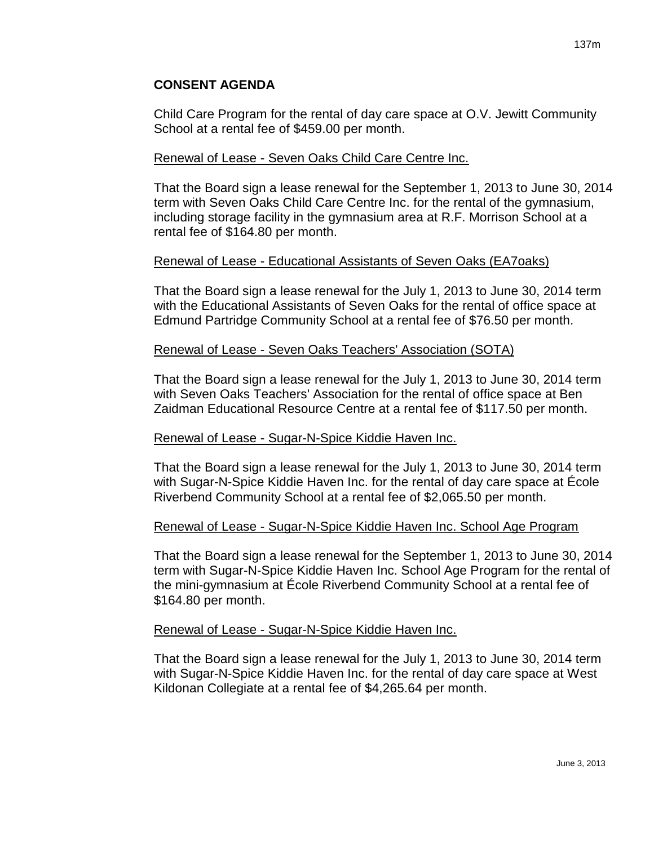Child Care Program for the rental of day care space at O.V. Jewitt Community School at a rental fee of \$459.00 per month.

#### Renewal of Lease - Seven Oaks Child Care Centre Inc.

That the Board sign a lease renewal for the September 1, 2013 to June 30, 2014 term with Seven Oaks Child Care Centre Inc. for the rental of the gymnasium, including storage facility in the gymnasium area at R.F. Morrison School at a rental fee of \$164.80 per month.

## Renewal of Lease - Educational Assistants of Seven Oaks (EA7oaks)

That the Board sign a lease renewal for the July 1, 2013 to June 30, 2014 term with the Educational Assistants of Seven Oaks for the rental of office space at Edmund Partridge Community School at a rental fee of \$76.50 per month.

#### Renewal of Lease - Seven Oaks Teachers' Association (SOTA)

That the Board sign a lease renewal for the July 1, 2013 to June 30, 2014 term with Seven Oaks Teachers' Association for the rental of office space at Ben Zaidman Educational Resource Centre at a rental fee of \$117.50 per month.

#### Renewal of Lease - Sugar-N-Spice Kiddie Haven Inc.

That the Board sign a lease renewal for the July 1, 2013 to June 30, 2014 term with Sugar-N-Spice Kiddie Haven Inc. for the rental of day care space at École Riverbend Community School at a rental fee of \$2,065.50 per month.

## Renewal of Lease - Sugar-N-Spice Kiddie Haven Inc. School Age Program

That the Board sign a lease renewal for the September 1, 2013 to June 30, 2014 term with Sugar-N-Spice Kiddie Haven Inc. School Age Program for the rental of the mini-gymnasium at École Riverbend Community School at a rental fee of \$164.80 per month.

#### Renewal of Lease - Sugar-N-Spice Kiddie Haven Inc.

That the Board sign a lease renewal for the July 1, 2013 to June 30, 2014 term with Sugar-N-Spice Kiddie Haven Inc. for the rental of day care space at West Kildonan Collegiate at a rental fee of \$4,265.64 per month.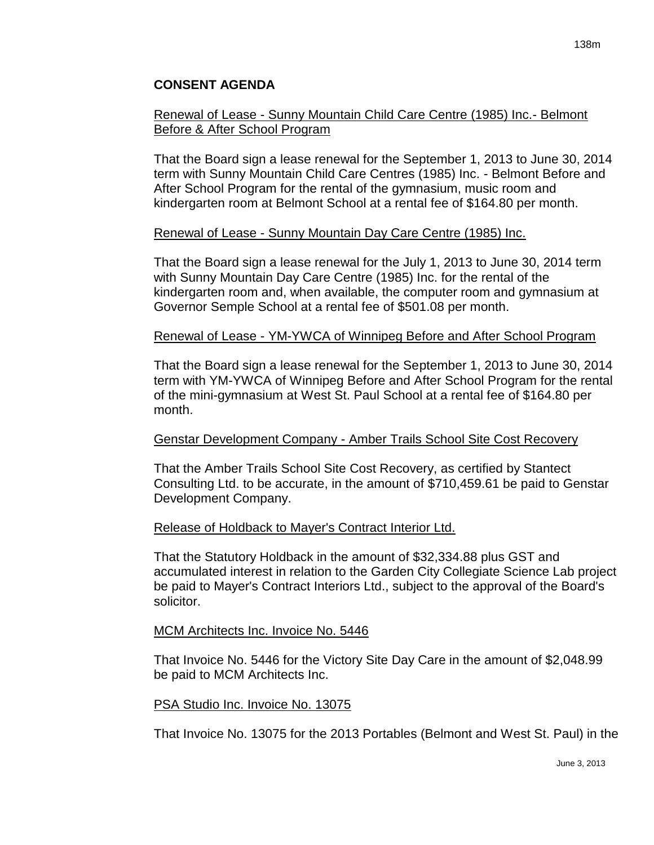## Renewal of Lease - Sunny Mountain Child Care Centre (1985) Inc.- Belmont Before & After School Program

That the Board sign a lease renewal for the September 1, 2013 to June 30, 2014 term with Sunny Mountain Child Care Centres (1985) Inc. - Belmont Before and After School Program for the rental of the gymnasium, music room and kindergarten room at Belmont School at a rental fee of \$164.80 per month.

## Renewal of Lease - Sunny Mountain Day Care Centre (1985) Inc.

That the Board sign a lease renewal for the July 1, 2013 to June 30, 2014 term with Sunny Mountain Day Care Centre (1985) Inc. for the rental of the kindergarten room and, when available, the computer room and gymnasium at Governor Semple School at a rental fee of \$501.08 per month.

#### Renewal of Lease - YM-YWCA of Winnipeg Before and After School Program

That the Board sign a lease renewal for the September 1, 2013 to June 30, 2014 term with YM-YWCA of Winnipeg Before and After School Program for the rental of the mini-gymnasium at West St. Paul School at a rental fee of \$164.80 per month.

## Genstar Development Company - Amber Trails School Site Cost Recovery

That the Amber Trails School Site Cost Recovery, as certified by Stantect Consulting Ltd. to be accurate, in the amount of \$710,459.61 be paid to Genstar Development Company.

## Release of Holdback to Mayer's Contract Interior Ltd.

That the Statutory Holdback in the amount of \$32,334.88 plus GST and accumulated interest in relation to the Garden City Collegiate Science Lab project be paid to Mayer's Contract Interiors Ltd., subject to the approval of the Board's solicitor.

#### MCM Architects Inc. Invoice No. 5446

That Invoice No. 5446 for the Victory Site Day Care in the amount of \$2,048.99 be paid to MCM Architects Inc.

#### PSA Studio Inc. Invoice No. 13075

That Invoice No. 13075 for the 2013 Portables (Belmont and West St. Paul) in the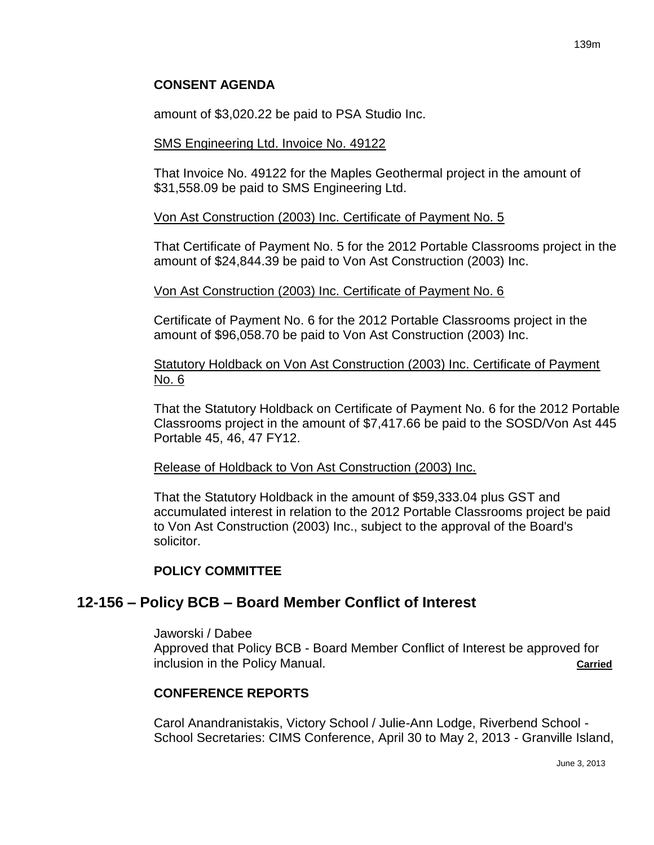amount of \$3,020.22 be paid to PSA Studio Inc.

#### SMS Engineering Ltd. Invoice No. 49122

That Invoice No. 49122 for the Maples Geothermal project in the amount of \$31,558.09 be paid to SMS Engineering Ltd.

#### Von Ast Construction (2003) Inc. Certificate of Payment No. 5

That Certificate of Payment No. 5 for the 2012 Portable Classrooms project in the amount of \$24,844.39 be paid to Von Ast Construction (2003) Inc.

#### Von Ast Construction (2003) Inc. Certificate of Payment No. 6

Certificate of Payment No. 6 for the 2012 Portable Classrooms project in the amount of \$96,058.70 be paid to Von Ast Construction (2003) Inc.

Statutory Holdback on Von Ast Construction (2003) Inc. Certificate of Payment No. 6

That the Statutory Holdback on Certificate of Payment No. 6 for the 2012 Portable Classrooms project in the amount of \$7,417.66 be paid to the SOSD/Von Ast 445 Portable 45, 46, 47 FY12.

#### Release of Holdback to Von Ast Construction (2003) Inc.

That the Statutory Holdback in the amount of \$59,333.04 plus GST and accumulated interest in relation to the 2012 Portable Classrooms project be paid to Von Ast Construction (2003) Inc., subject to the approval of the Board's solicitor.

## **POLICY COMMITTEE**

# **12-156 – Policy BCB – Board Member Conflict of Interest**

Jaworski / Dabee

Approved that Policy BCB - Board Member Conflict of Interest be approved for inclusion in the Policy Manual. **Carried**

## **CONFERENCE REPORTS**

Carol Anandranistakis, Victory School / Julie-Ann Lodge, Riverbend School - School Secretaries: CIMS Conference, April 30 to May 2, 2013 - Granville Island,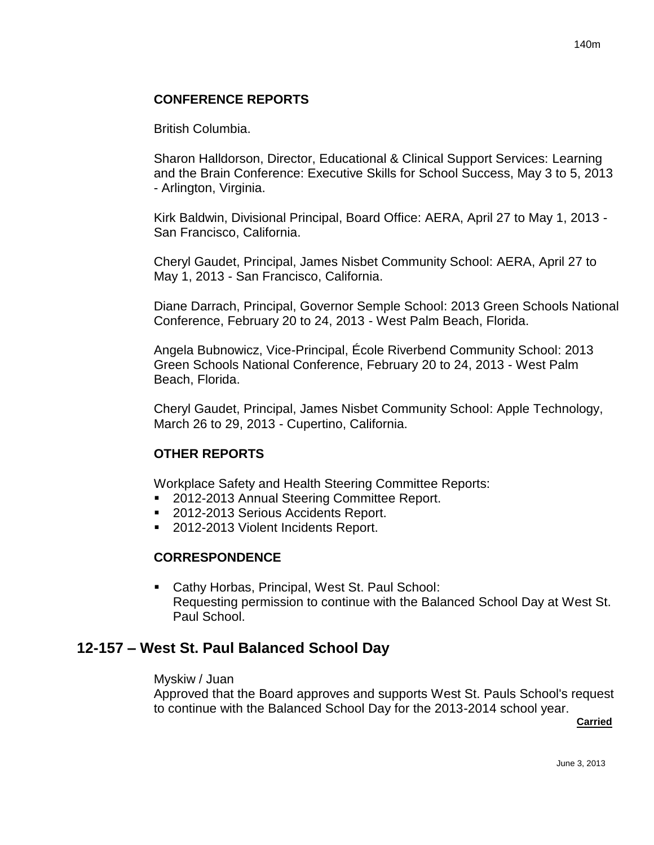# **CONFERENCE REPORTS**

British Columbia.

Sharon Halldorson, Director, Educational & Clinical Support Services: Learning and the Brain Conference: Executive Skills for School Success, May 3 to 5, 2013 - Arlington, Virginia.

Kirk Baldwin, Divisional Principal, Board Office: AERA, April 27 to May 1, 2013 - San Francisco, California.

Cheryl Gaudet, Principal, James Nisbet Community School: AERA, April 27 to May 1, 2013 - San Francisco, California.

Diane Darrach, Principal, Governor Semple School: 2013 Green Schools National Conference, February 20 to 24, 2013 - West Palm Beach, Florida.

Angela Bubnowicz, Vice-Principal, École Riverbend Community School: 2013 Green Schools National Conference, February 20 to 24, 2013 - West Palm Beach, Florida.

Cheryl Gaudet, Principal, James Nisbet Community School: Apple Technology, March 26 to 29, 2013 - Cupertino, California.

# **OTHER REPORTS**

Workplace Safety and Health Steering Committee Reports:

- 2012-2013 Annual Steering Committee Report.
- 2012-2013 Serious Accidents Report.
- 2012-2013 Violent Incidents Report.

## **CORRESPONDENCE**

 Cathy Horbas, Principal, West St. Paul School: Requesting permission to continue with the Balanced School Day at West St. Paul School.

# **12-157 – West St. Paul Balanced School Day**

#### Myskiw / Juan

Approved that the Board approves and supports West St. Pauls School's request to continue with the Balanced School Day for the 2013-2014 school year.

**Carried**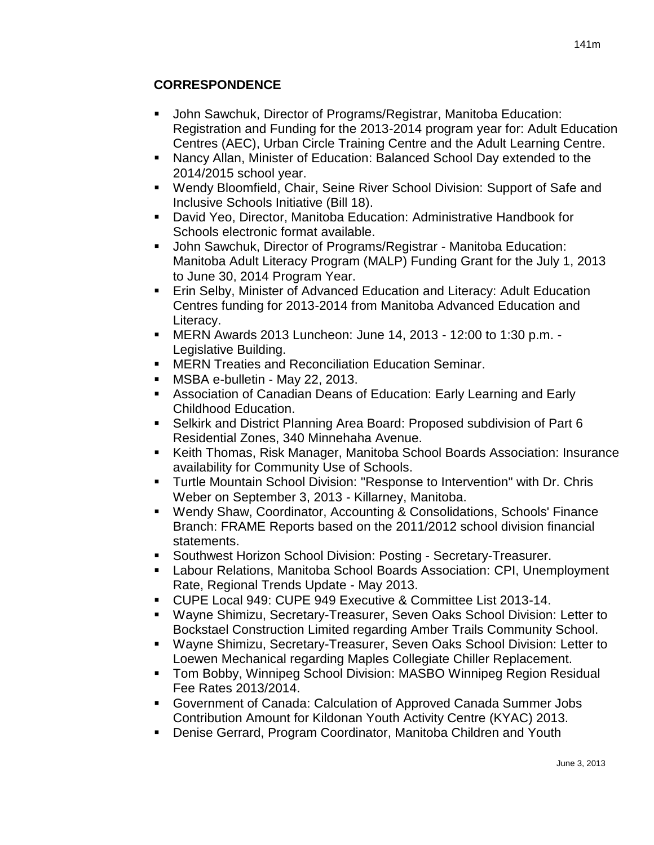# **CORRESPONDENCE**

- John Sawchuk, Director of Programs/Registrar, Manitoba Education: Registration and Funding for the 2013-2014 program year for: Adult Education Centres (AEC), Urban Circle Training Centre and the Adult Learning Centre.
- Nancy Allan, Minister of Education: Balanced School Day extended to the 2014/2015 school year.
- Wendy Bloomfield, Chair, Seine River School Division: Support of Safe and Inclusive Schools Initiative (Bill 18).
- David Yeo, Director, Manitoba Education: Administrative Handbook for Schools electronic format available.
- John Sawchuk, Director of Programs/Registrar Manitoba Education: Manitoba Adult Literacy Program (MALP) Funding Grant for the July 1, 2013 to June 30, 2014 Program Year.
- **Erin Selby, Minister of Advanced Education and Literacy: Adult Education** Centres funding for 2013-2014 from Manitoba Advanced Education and Literacy.
- MERN Awards 2013 Luncheon: June 14, 2013 12:00 to 1:30 p.m. Legislative Building.
- **EXEGN Treaties and Reconciliation Education Seminar.**
- **MSBA e-bulletin May 22, 2013.**
- Association of Canadian Deans of Education: Early Learning and Early Childhood Education.
- Selkirk and District Planning Area Board: Proposed subdivision of Part 6 Residential Zones, 340 Minnehaha Avenue.
- Keith Thomas, Risk Manager, Manitoba School Boards Association: Insurance availability for Community Use of Schools.
- Turtle Mountain School Division: "Response to Intervention" with Dr. Chris Weber on September 3, 2013 - Killarney, Manitoba.
- Wendy Shaw, Coordinator, Accounting & Consolidations, Schools' Finance Branch: FRAME Reports based on the 2011/2012 school division financial statements.
- **Southwest Horizon School Division: Posting Secretary-Treasurer.**
- Labour Relations, Manitoba School Boards Association: CPI, Unemployment Rate, Regional Trends Update - May 2013.
- CUPE Local 949: CUPE 949 Executive & Committee List 2013-14.
- Wayne Shimizu, Secretary-Treasurer, Seven Oaks School Division: Letter to Bockstael Construction Limited regarding Amber Trails Community School.
- Wayne Shimizu, Secretary-Treasurer, Seven Oaks School Division: Letter to Loewen Mechanical regarding Maples Collegiate Chiller Replacement.
- Tom Bobby, Winnipeg School Division: MASBO Winnipeg Region Residual Fee Rates 2013/2014.
- Government of Canada: Calculation of Approved Canada Summer Jobs Contribution Amount for Kildonan Youth Activity Centre (KYAC) 2013.
- Denise Gerrard, Program Coordinator, Manitoba Children and Youth